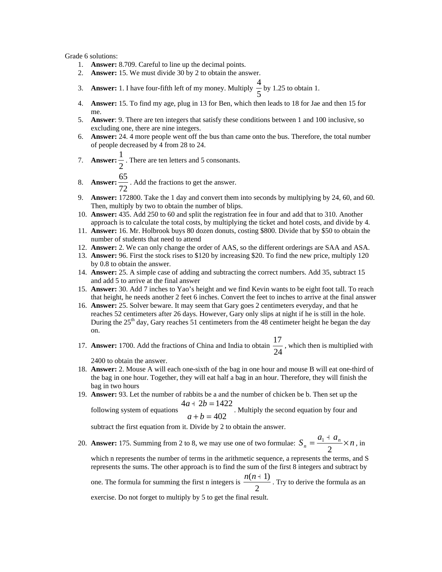Grade 6 solutions:

- 1. **Answer:** 8.709. Careful to line up the decimal points.
- 2. **Answer:** 15. We must divide 30 by 2 to obtain the answer.
- 3. **Answer:** 1. I have four-fifth left of my money. Multiply  $\frac{1}{5}$  $\frac{4}{5}$  by 1.25 to obtain 1.
- 4. **Answer:** 15. To find my age, plug in 13 for Ben, which then leads to 18 for Jae and then 15 for me.
- 5. **Answer**: 9. There are ten integers that satisfy these conditions between 1 and 100 inclusive, so excluding one, there are nine integers.
- 6. **Answer:** 24. 4 more people went off the bus than came onto the bus. Therefore, the total number of people decreased by 4 from 28 to 24.
- 7. **Answer:**  $\frac{1}{2}$  $\frac{1}{x}$ . There are ten letters and 5 consonants.

$$
\overline{a}
$$

- 8. **Answer:**  $\frac{80}{72}$  $\frac{65}{2}$ . Add the fractions to get the answer.
- 9. **Answer:** 172800. Take the 1 day and convert them into seconds by multiplying by 24, 60, and 60. Then, multiply by two to obtain the number of blips.
- 10. **Answer:** 435. Add 250 to 60 and split the registration fee in four and add that to 310. Another approach is to calculate the total costs, by multiplying the ticket and hotel costs, and divide by 4.
- 11. **Answer:** 16. Mr. Holbrook buys 80 dozen donuts, costing \$800. Divide that by \$50 to obtain the number of students that need to attend
- 12. **Answer:** 2. We can only change the order of AAS, so the different orderings are SAA and ASA.
- 13. **Answer:** 96. First the stock rises to \$120 by increasing \$20. To find the new price, multiply 120 by 0.8 to obtain the answer.
- 14. **Answer:** 25. A simple case of adding and subtracting the correct numbers. Add 35, subtract 15 and add 5 to arrive at the final answer
- 15. **Answer:** 30. Add 7 inches to Yao's height and we find Kevin wants to be eight foot tall. To reach that height, he needs another 2 feet 6 inches. Convert the feet to inches to arrive at the final answer
- 16. **Answer:** 25. Solver beware. It may seem that Gary goes 2 centimeters everyday, and that he reaches 52 centimeters after 26 days. However, Gary only slips at night if he is still in the hole. During the  $25<sup>th</sup>$  day, Gary reaches 51 centimeters from the 48 centimeter height he began the day on.
- 17. **Answer:** 1700. Add the fractions of China and India to obtain  $\frac{1}{24}$  $\frac{17}{24}$ , which then is multiplied with 2400 to obtain the answer.

18. **Answer:** 2. Mouse A will each one-sixth of the bag in one hour and mouse B will eat one-third of the bag in one hour. Together, they will eat half a bag in an hour. Therefore, they will finish the bag in two hours

19. **Answer:** 93. Let the number of rabbits be a and the number of chicken be b. Then set up the  $4a + 2b = 1422$  $+ 2b =$  $a + 2b$ 

following system of equations 402  $+ b =$  $a + b$ . Multiply the second equation by four and

subtract the first equation from it. Divide by 2 to obtain the answer.

20. **Answer:** 175. Summing from 2 to 8, we may use one of two formulae:  $S_n = \frac{a_1 + a_n}{2} \times n$ , in

which n represents the number of terms in the arithmetic sequence, a represents the terms, and S represents the sums. The other approach is to find the sum of the first 8 integers and subtract by

one. The formula for summing the first n integers is  $\frac{2\pi}{3}$  $\frac{n(n+1)}{n}$ . Try to derive the formula as an

exercise. Do not forget to multiply by 5 to get the final result.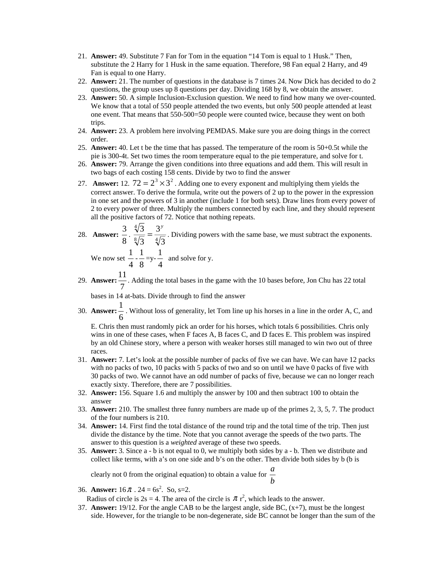- 21. **Answer:** 49. Substitute 7 Fan for Tom in the equation "14 Tom is equal to 1 Husk." Then, substitute the 2 Harry for 1 Husk in the same equation. Therefore, 98 Fan equal 2 Harry, and 49 Fan is equal to one Harry.
- 22. **Answer:** 21. The number of questions in the database is 7 times 24. Now Dick has decided to do 2 questions, the group uses up 8 questions per day. Dividing 168 by 8, we obtain the answer.
- 23. **Answer:** 50. A simple Inclusion-Exclusion question. We need to find how many we over-counted. We know that a total of 550 people attended the two events, but only 500 people attended at least one event. That means that 550-500=50 people were counted twice, because they went on both trips.
- 24. **Answer:** 23. A problem here involving PEMDAS. Make sure you are doing things in the correct order.
- 25. **Answer:** 40. Let t be the time that has passed. The temperature of the room is 50+0.5t while the pie is 300-4t. Set two times the room temperature equal to the pie temperature, and solve for t.
- 26. **Answer:** 79. Arrange the given conditions into three equations and add them. This will result in two bags of each costing 158 cents. Divide by two to find the answer
- 27. **Answer:** 12.  $72 = 2^3 \times 3^2$ . Adding one to every exponent and multiplying them yields the correct answer. To derive the formula, write out the powers of 2 up to the power in the expression in one set and the powers of 3 in another (include 1 for both sets). Draw lines from every power of 2 to every power of three. Multiply the numbers connected by each line, and they should represent all the positive factors of 72. Notice that nothing repeats.
- 28. **Answer:**  $\frac{3}{8} \cdot \frac{\sqrt[4]{3}}{\sqrt[8]{3}} = \frac{3}{4}$ 3 3 3  $\frac{3}{5} = \frac{3^y}{\sqrt{2}}$ . Dividing powers with the same base, we must subtract the exponents.

We now set  $\frac{1}{4}$  $\frac{1}{2}$ . 8 1  $=y-\frac{1}{4}$  $\frac{1}{x}$  and solve for y.

29. **Answer:** 7  $\frac{11}{1}$ . Adding the total bases in the game with the 10 bases before, Jon Chu has 22 total

bases in 14 at-bats. Divide through to find the answer

30. **Answer:** 6  $\frac{1}{1}$ . Without loss of generality, let Tom line up his horses in a line in the order A, C, and

E. Chris then must randomly pick an order for his horses, which totals 6 possibilities. Chris only wins in one of these cases, when F faces A, B faces C, and D faces E. This problem was inspired by an old Chinese story, where a person with weaker horses still managed to win two out of three races.

- 31. **Answer:** 7. Let's look at the possible number of packs of five we can have. We can have 12 packs with no packs of two, 10 packs with 5 packs of two and so on until we have 0 packs of five with 30 packs of two. We cannot have an odd number of packs of five, because we can no longer reach exactly sixty. Therefore, there are 7 possibilities.
- 32. **Answer:** 156. Square 1.6 and multiply the answer by 100 and then subtract 100 to obtain the answer
- 33. **Answer:** 210. The smallest three funny numbers are made up of the primes 2, 3, 5, 7. The product of the four numbers is 210.
- 34. **Answer:** 14. First find the total distance of the round trip and the total time of the trip. Then just divide the distance by the time. Note that you cannot average the speeds of the two parts. The answer to this question is a *weighted* average of these two speeds.
- 35. **Answer:** 3. Since a b is not equal to 0, we multiply both sides by a b. Then we distribute and collect like terms, with a's on one side and b's on the other. Then divide both sides by b (b is

clearly not 0 from the original equation) to obtain a value for  $\frac{a}{b}$ *a*

36. **Answer:**  $16 \pi$ .  $24 = 6s^2$ . So, s=2.

Radius of circle is  $2s = 4$ . The area of the circle is  $\pi r^2$ , which leads to the answer.

37. **Answer:** 19/12. For the angle CAB to be the largest angle, side BC, (x+7), must be the longest side. However, for the triangle to be non-degenerate, side BC cannot be longer than the sum of the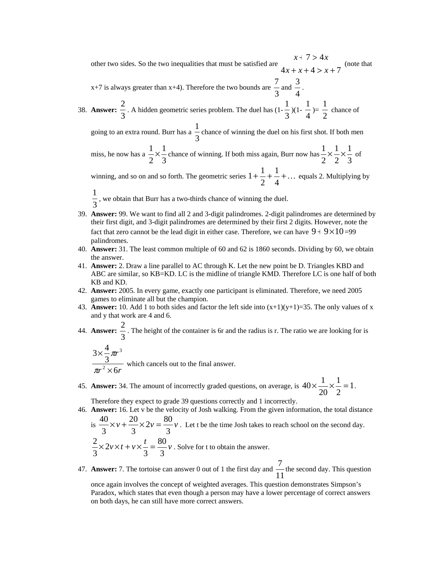other two sides. So the two inequalities that must be satisfied are  $4x + x + 4 > x + 7$  $7 > 4$  $+ x + 4 > x +$  $+ 7 >$  $x + x + 4 > x$  $x + 7 > 4x$ (note that

 $x+7$  is always greater than  $x+4$ ). Therefore the two bounds are  $\frac{1}{3}$  $\frac{7}{3}$  and  $\frac{3}{4}$  $\frac{3}{2}$ .

38. **Answer:** 
$$
\frac{2}{3}
$$
. A hidden geometric series problem. The duel has  $(1-\frac{1}{3})(1-\frac{1}{4})=\frac{1}{2}$  chance of

going to an extra round. Burr has a  $\frac{1}{3}$ 1 chance of winning the duel on his first shot. If both men

miss, he now has a  $\frac{1}{2} \times \frac{1}{3}$ 1 2  $\frac{1}{2} \times \frac{1}{2}$  chance of winning. If both miss again, Burr now has 3 1 2 1 2  $\frac{1}{2} \times \frac{1}{2} \times \frac{1}{2}$  of

winning, and so on and so forth. The geometric series  $1 + \frac{1}{2} + \frac{1}{4} + \dots$ 2  $1 + \frac{1}{2} + \frac{1}{4} + \dots$  equals 2. Multiplying by

- 3  $\frac{1}{x}$ , we obtain that Burr has a two-thirds chance of winning the duel.
- 39. **Answer:** 99. We want to find all 2 and 3-digit palindromes. 2-digit palindromes are determined by their first digit, and 3-digit palindromes are determined by their first 2 digits. However, note the fact that zero cannot be the lead digit in either case. Therefore, we can have  $9 + 9 \times 10 = 99$ palindromes.
- 40. **Answer:** 31. The least common multiple of 60 and 62 is 1860 seconds. Dividing by 60, we obtain the answer.
- 41. **Answer:** 2. Draw a line parallel to AC through K. Let the new point be D. Triangles KBD and ABC are similar, so KB=KD. LC is the midline of triangle KMD. Therefore LC is one half of both KB and KD.
- 42. **Answer:** 2005. In every game, exactly one participant is eliminated. Therefore, we need 2005 games to eliminate all but the champion.
- 43. **Answer:** 10. Add 1 to both sides and factor the left side into  $(x+1)(y+1)=35$ . The only values of x and y that work are 4 and 6.
- 44. **Answer:** 3 2. The height of the container is 6r and the radius is r. The ratio we are looking for is

 $r^2 \times 6r$ *r* 6 3  $3\times\frac{4}{5}$ 2 3 × ×  $\pi$ π which cancels out to the final answer.

45. **Answer:** 34. The amount of incorrectly graded questions, on average, is  $40 \times \frac{1}{20} \times \frac{1}{2} = 1$ 2 1 20  $40 \times \frac{1}{20} \times \frac{1}{2} = 1$ .

Therefore they expect to grade 39 questions correctly and 1 incorrectly.

46. **Answer:** 16. Let v be the velocity of Josh walking. From the given information, the total distance is  $\frac{40}{2} \times v + \frac{20}{2} \times 2v = \frac{80}{2}v$ . Let t be the time Josh takes to reach school on the second day.

$$
\frac{2}{3} \times \frac{2}{3} \times \frac{1}{3} \times \frac{1}{5} = \frac{80}{3} \text{ V}.
$$
 Let t be the time Josh takes to reach school on the second day  

$$
\frac{2}{3} \times 2\frac{1}{5} \times \frac{1}{5} = \frac{80}{3} \text{ V}.
$$
 Solve for t to obtain the answer.

47. **Answer:** 7. The tortoise can answer 0 out of 1 the first day and  $\frac{7}{11}$  $\frac{7}{1}$  the second day. This question

once again involves the concept of weighted averages. This question demonstrates Simpson's Paradox, which states that even though a person may have a lower percentage of correct answers on both days, he can still have more correct answers.